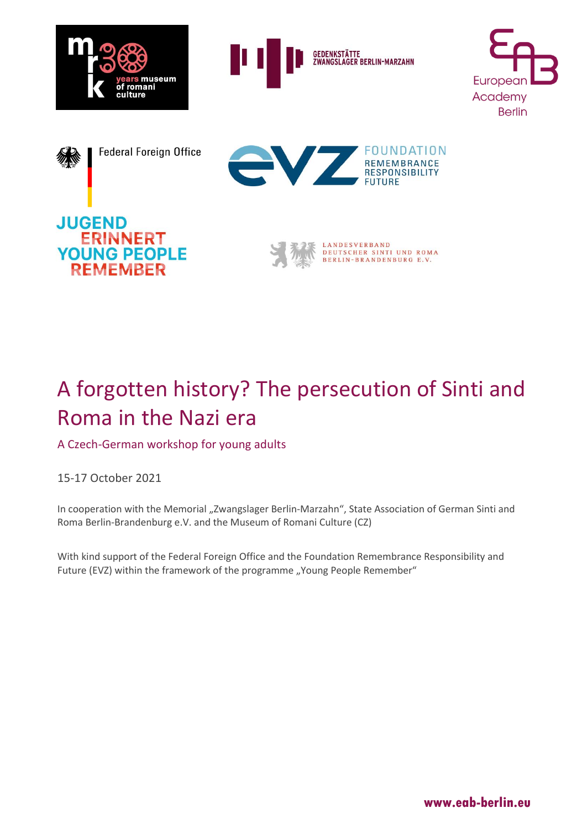

**GEDENKSTÄTTE**<br>ZWANGSLAGER **AGER BERLIN-MARZAHN** 











# A forgotten history? The persecution of Sinti and Roma in the Nazi era

A Czech-German workshop for young adults

15-17 October 2021

In cooperation with the Memorial "Zwangslager Berlin-Marzahn", State Association of German Sinti and Roma Berlin-Brandenburg e.V. and the Museum of Romani Culture (CZ)

With kind support of the Federal Foreign Office and the Foundation Remembrance Responsibility and Future (EVZ) within the framework of the programme "Young People Remember"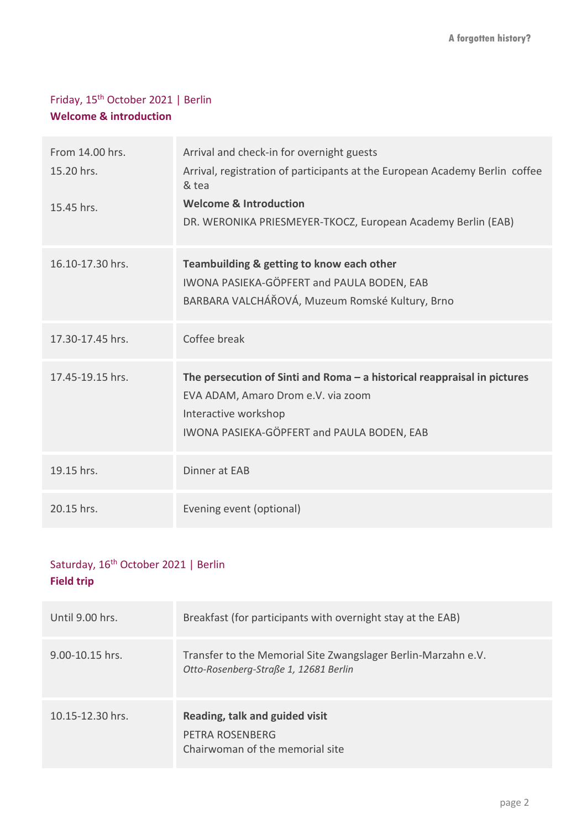### Friday, 15th October 2021 | Berlin **Welcome & introduction**

| From 14.00 hrs.<br>15.20 hrs.<br>15.45 hrs. | Arrival and check-in for overnight guests<br>Arrival, registration of participants at the European Academy Berlin coffee<br>& tea<br><b>Welcome &amp; Introduction</b><br>DR. WERONIKA PRIESMEYER-TKOCZ, European Academy Berlin (EAB) |
|---------------------------------------------|----------------------------------------------------------------------------------------------------------------------------------------------------------------------------------------------------------------------------------------|
| 16.10-17.30 hrs.                            | Teambuilding & getting to know each other<br>IWONA PASIEKA-GÖPFERT and PAULA BODEN, EAB<br>BARBARA VALCHÁŘOVÁ, Muzeum Romské Kultury, Brno                                                                                             |
| 17.30-17.45 hrs.                            | Coffee break                                                                                                                                                                                                                           |
| 17.45-19.15 hrs.                            | The persecution of Sinti and Roma $-$ a historical reappraisal in pictures<br>EVA ADAM, Amaro Drom e.V. via zoom<br>Interactive workshop<br>IWONA PASIEKA-GÖPFERT and PAULA BODEN, EAB                                                 |
| 19.15 hrs.                                  | Dinner at EAB                                                                                                                                                                                                                          |
| 20.15 hrs.                                  | Evening event (optional)                                                                                                                                                                                                               |

## Saturday, 16<sup>th</sup> October 2021 | Berlin **Field trip**

| Until 9.00 hrs.     | Breakfast (for participants with overnight stay at the EAB)                                            |
|---------------------|--------------------------------------------------------------------------------------------------------|
| $9.00 - 10.15$ hrs. | Transfer to the Memorial Site Zwangslager Berlin-Marzahn e.V.<br>Otto-Rosenberg-Straße 1, 12681 Berlin |
| 10.15-12.30 hrs.    | Reading, talk and guided visit<br>PETRA ROSENBERG<br>Chairwoman of the memorial site                   |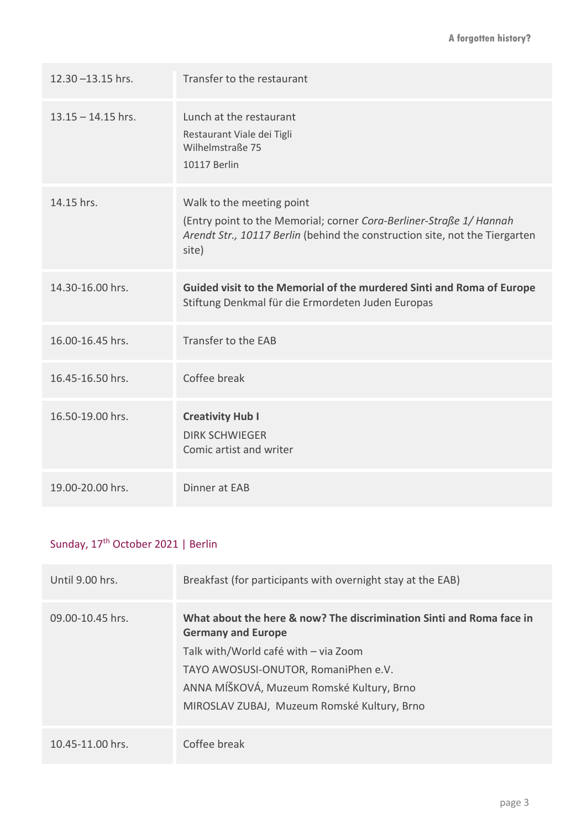| $12.30 - 13.15$ hrs. | Transfer to the restaurant                                                                                                                                                               |
|----------------------|------------------------------------------------------------------------------------------------------------------------------------------------------------------------------------------|
| $13.15 - 14.15$ hrs. | Lunch at the restaurant<br>Restaurant Viale dei Tigli<br>Wilhelmstraße 75<br><b>10117 Berlin</b>                                                                                         |
| 14.15 hrs.           | Walk to the meeting point<br>(Entry point to the Memorial; corner Cora-Berliner-Straße 1/ Hannah<br>Arendt Str., 10117 Berlin (behind the construction site, not the Tiergarten<br>site) |
| 14.30-16.00 hrs.     | Guided visit to the Memorial of the murdered Sinti and Roma of Europe<br>Stiftung Denkmal für die Ermordeten Juden Europas                                                               |
| 16.00-16.45 hrs.     | Transfer to the EAB                                                                                                                                                                      |
| 16.45-16.50 hrs.     | Coffee break                                                                                                                                                                             |
| 16.50-19.00 hrs.     | <b>Creativity Hub I</b><br><b>DIRK SCHWIEGER</b><br>Comic artist and writer                                                                                                              |
| 19.00-20.00 hrs.     | Dinner at EAB                                                                                                                                                                            |

## Sunday, 17<sup>th</sup> October 2021 | Berlin

| Until 9.00 hrs.      | Breakfast (for participants with overnight stay at the EAB)                                                                                                                                                                                                                   |
|----------------------|-------------------------------------------------------------------------------------------------------------------------------------------------------------------------------------------------------------------------------------------------------------------------------|
| $09.00 - 10.45$ hrs. | What about the here & now? The discrimination Sinti and Roma face in<br><b>Germany and Europe</b><br>Talk with/World café with - via Zoom<br>TAYO AWOSUSI-ONUTOR, RomaniPhen e.V.<br>ANNA MÍŠKOVÁ, Muzeum Romské Kultury, Brno<br>MIROSLAV ZUBAJ, Muzeum Romské Kultury, Brno |
| $10.45 - 11.00$ hrs. | Coffee break                                                                                                                                                                                                                                                                  |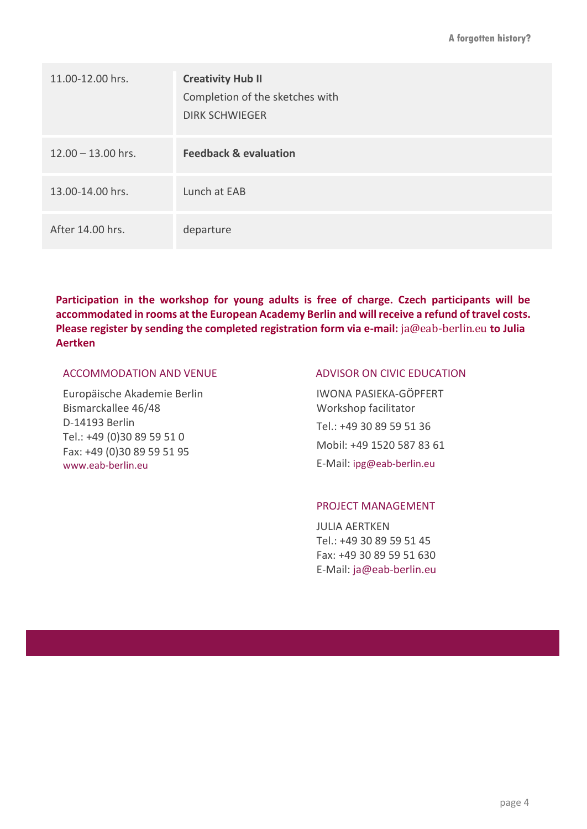| 11.00-12.00 hrs.     | <b>Creativity Hub II</b><br>Completion of the sketches with<br><b>DIRK SCHWIEGER</b> |
|----------------------|--------------------------------------------------------------------------------------|
| $12.00 - 13.00$ hrs. | <b>Feedback &amp; evaluation</b>                                                     |
| 13.00-14.00 hrs.     | Lunch at EAB                                                                         |
| After 14.00 hrs.     | departure                                                                            |

**Participation in the workshop for young adults is free of charge. Czech participants will be accommodated in rooms at the European Academy Berlin and will receive a refund of travel costs. Please register by sending the completed registration form via e-mail:** [ja@eab-berlin.eu](mailto:ja@eab-berlin.eu) **to Julia Aertken**

#### ACCOMMODATION AND VENUE

Europäische Akademie Berlin Bismarckallee 46/48 D-14193 Berlin Tel.: +49 (0)30 89 59 51 0 Fax: +49 (0)30 89 59 51 95 [www.eab-berlin.eu](http://www.eab-berlin.eu/)

#### ADVISOR ON CIVIC EDUCATION

IWONA PASIEKA-GÖPFERT Workshop facilitator Tel.: +49 30 89 59 51 36 Mobil: +49 1520 587 83 61 E-Mail: [ipg@eab-berlin.eu](mailto:ipg@eab-berlin.eu)

#### PROJECT MANAGEMENT

JULIA AERTKEN Tel.: +49 30 89 59 51 45 Fax: +49 30 89 59 51 630 E-Mail: ja@eab-berlin.eu